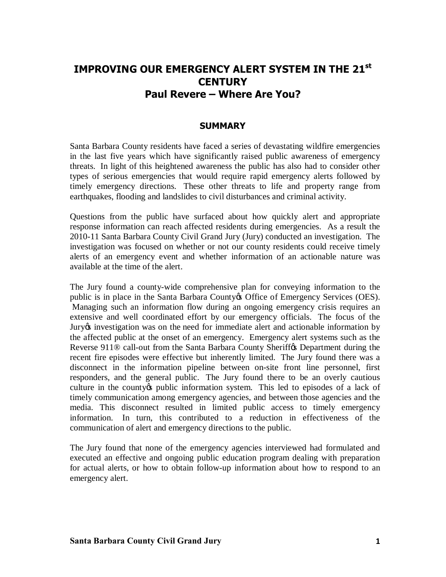# **IMPROVING OUR EMERGENCY ALERT SYSTEM IN THE 21st CENTURY Paul Revere – Where Are You?**

## **SUMMARY**

Santa Barbara County residents have faced a series of devastating wildfire emergencies in the last five years which have significantly raised public awareness of emergency threats. In light of this heightened awareness the public has also had to consider other types of serious emergencies that would require rapid emergency alerts followed by timely emergency directions. These other threats to life and property range from earthquakes, flooding and landslides to civil disturbances and criminal activity.

Questions from the public have surfaced about how quickly alert and appropriate response information can reach affected residents during emergencies. As a result the 2010-11 Santa Barbara County Civil Grand Jury (Jury) conducted an investigation. The investigation was focused on whether or not our county residents could receive timely alerts of an emergency event and whether information of an actionable nature was available at the time of the alert.

The Jury found a county-wide comprehensive plan for conveying information to the public is in place in the Santa Barbara County & Office of Emergency Services (OES). Managing such an information flow during an ongoing emergency crisis requires an extensive and well coordinated effort by our emergency officials. The focus of the Jury's investigation was on the need for immediate alert and actionable information by the affected public at the onset of an emergency. Emergency alert systems such as the Reverse 911<sup>®</sup> call-out from the Santa Barbara County Sheriff<sub>os</sub> Department during the recent fire episodes were effective but inherently limited. The Jury found there was a disconnect in the information pipeline between on-site front line personnel, first responders, and the general public. The Jury found there to be an overly cautious culture in the county t public information system. This led to episodes of a lack of timely communication among emergency agencies, and between those agencies and the media. This disconnect resulted in limited public access to timely emergency information. In turn, this contributed to a reduction in effectiveness of the communication of alert and emergency directions to the public.

The Jury found that none of the emergency agencies interviewed had formulated and executed an effective and ongoing public education program dealing with preparation for actual alerts, or how to obtain follow-up information about how to respond to an emergency alert.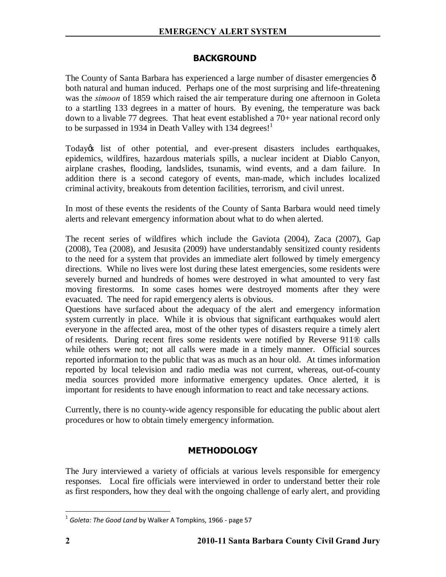# **BACKGROUND**

The County of Santa Barbara has experienced a large number of disaster emergencies  $\hat{o}$ both natural and human induced. Perhaps one of the most surprising and life-threatening was the *simoon* of 1859 which raised the air temperature during one afternoon in Goleta to a startling 133 degrees in a matter of hours. By evening, the temperature was back down to a livable 77 degrees. That heat event established a 70+ year national record only to be surpassed in 1934 in Death Valley with 134 degrees!<sup>1</sup>

Today's list of other potential, and ever-present disasters includes earthquakes, epidemics, wildfires, hazardous materials spills, a nuclear incident at Diablo Canyon, airplane crashes, flooding, landslides, tsunamis, wind events, and a dam failure. In addition there is a second category of events, man-made, which includes localized criminal activity, breakouts from detention facilities, terrorism, and civil unrest.

In most of these events the residents of the County of Santa Barbara would need timely alerts and relevant emergency information about what to do when alerted.

The recent series of wildfires which include the Gaviota (2004), Zaca (2007), Gap (2008), Tea (2008), and Jesusita (2009) have understandably sensitized county residents to the need for a system that provides an immediate alert followed by timely emergency directions. While no lives were lost during these latest emergencies, some residents were severely burned and hundreds of homes were destroyed in what amounted to very fast moving firestorms. In some cases homes were destroyed moments after they were evacuated. The need for rapid emergency alerts is obvious.

Questions have surfaced about the adequacy of the alert and emergency information system currently in place. While it is obvious that significant earthquakes would alert everyone in the affected area, most of the other types of disasters require a timely alert of residents. During recent fires some residents were notified by Reverse 911® calls while others were not; not all calls were made in a timely manner. Official sources reported information to the public that was as much as an hour old. At times information reported by local television and radio media was not current, whereas, out-of-county media sources provided more informative emergency updates. Once alerted, it is important for residents to have enough information to react and take necessary actions.

Currently, there is no county-wide agency responsible for educating the public about alert procedures or how to obtain timely emergency information.

# **METHODOLOGY**

The Jury interviewed a variety of officials at various levels responsible for emergency responses. Local fire officials were interviewed in order to understand better their role as first responders, how they deal with the ongoing challenge of early alert, and providing

 <sup>1</sup> *Goleta: The Good Land* by Walker A Tompkins, 1966 - page 57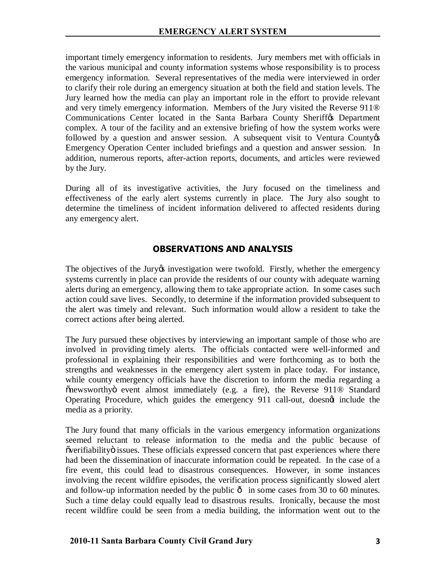important timely emergency information to residents. Jury members met with officials in the various municipal and county information systems whose responsibility is to process emergency information. Several representatives of the media were interviewed in order to clarify their role during an emergency situation at both the field and station levels. The Jury learned how the media can play an important role in the effort to provide relevant and very timely emergency information. Members of the Jury visited the Reverse 911® Communications Center located in the Santa Barbara County Sheriffos Department complex. A tour of the facility and an extensive briefing of how the system works were followed by a question and answer session. A subsequent visit to Ventura County  $\alpha$ Emergency Operation Center included briefings and a question and answer session. In addition, numerous reports, after-action reports, documents, and articles were reviewed by the Jury.

During all of its investigative activities, the Jury focused on the timeliness and effectiveness of the early alert systems currently in place. The Jury also sought to determine the timeliness of incident information delivered to affected residents during any emergency alert.

# **OBSERVATIONS AND ANALYSIS**

The objectives of the Jury investigation were twofold. Firstly, whether the emergency systems currently in place can provide the residents of our county with adequate warning alerts during an emergency, allowing them to take appropriate action. In some cases such action could save lives. Secondly, to determine if the information provided subsequent to the alert was timely and relevant. Such information would allow a resident to take the correct actions after being alerted.

The Jury pursued these objectives by interviewing an important sample of those who are involved in providing timely alerts. The officials contacted were well-informed and professional in explaining their responsibilities and were forthcoming as to both the strengths and weaknesses in the emergency alert system in place today. For instance, while county emergency officials have the discretion to inform the media regarding a "newsworthy" event almost immediately (e.g. a fire), the Reverse 911® Standard Operating Procedure, which guides the emergency 911 call-out, doesngt include the media as a priority.

The Jury found that many officials in the various emergency information organizations seemed reluctant to release information to the media and the public because of  $\tilde{v}$  overifiability $\tilde{v}$  issues. These officials expressed concern that past experiences where there had been the dissemination of inaccurate information could be repeated. In the case of a fire event, this could lead to disastrous consequences. However, in some instances involving the recent wildfire episodes, the verification process significantly slowed alert and follow-up information needed by the public  $\hat{o}$  in some cases from 30 to 60 minutes. Such a time delay could equally lead to disastrous results. Ironically, because the most recent wildfire could be seen from a media building, the information went out to the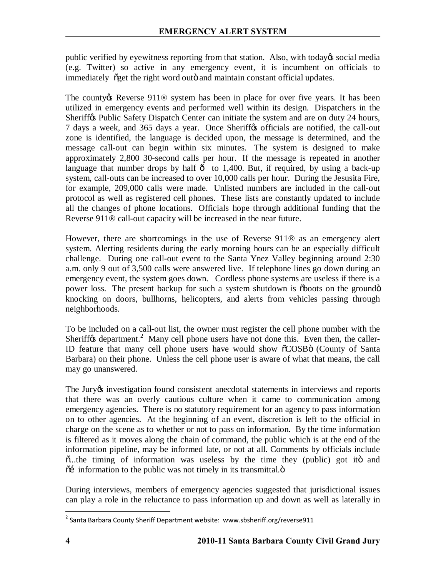public verified by eyewitness reporting from that station. Also, with today's social media (e.g. Twitter) so active in any emergency event, it is incumbent on officials to immediately  $\tilde{\text{og}}$ et the right word outö and maintain constant official updates.

The county the Reverse 911<sup>®</sup> system has been in place for over five years. It has been utilized in emergency events and performed well within its design. Dispatchers in the Sheriff $\alpha$  Public Safety Dispatch Center can initiate the system and are on duty 24 hours, 7 days a week, and 365 days a year. Once Sheriff to officials are notified, the call-out zone is identified, the language is decided upon, the message is determined, and the message call-out can begin within six minutes. The system is designed to make approximately 2,800 30-second calls per hour. If the message is repeated in another language that number drops by half  $\hat{o}$  to 1,400. But, if required, by using a back-up system, call-outs can be increased to over 10,000 calls per hour. During the Jesusita Fire, for example, 209,000 calls were made. Unlisted numbers are included in the call-out protocol as well as registered cell phones. These lists are constantly updated to include all the changes of phone locations. Officials hope through additional funding that the Reverse 911® call-out capacity will be increased in the near future.

However, there are shortcomings in the use of Reverse 911® as an emergency alert system. Alerting residents during the early morning hours can be an especially difficult challenge. During one call-out event to the Santa Ynez Valley beginning around 2:30 a.m. only 9 out of 3,500 calls were answered live. If telephone lines go down during an emergency event, the system goes down. Cordless phone systems are useless if there is a power loss. The present backup for such a system shutdown is  $\delta$ boots on the ground $\delta$ knocking on doors, bullhorns, helicopters, and alerts from vehicles passing through neighborhoods.

To be included on a call-out list, the owner must register the cell phone number with the Sheriff $\alpha$  department.<sup>2</sup> Many cell phone users have not done this. Even then, the caller-ID feature that many cell phone users have would show  $\tilde{O}$ COSB $\ddot{o}$  (County of Santa Barbara) on their phone. Unless the cell phone user is aware of what that means, the call may go unanswered.

The Jury tn investigation found consistent anecdotal statements in interviews and reports that there was an overly cautious culture when it came to communication among emergency agencies. There is no statutory requirement for an agency to pass information on to other agencies. At the beginning of an event, discretion is left to the official in charge on the scene as to whether or not to pass on information. By the time information is filtered as it moves along the chain of command, the public which is at the end of the information pipeline, may be informed late, or not at all. Comments by officials include  $\ddot{\text{o}}$ ...the timing of information was useless by the time they (public) got ito and  $\tilde{\text{o}}$  information to the public was not timely in its transmittal. $\tilde{\text{o}}$ 

During interviews, members of emergency agencies suggested that jurisdictional issues can play a role in the reluctance to pass information up and down as well as laterally in

 $\frac{1}{2}$  $3$  Santa Barbara County Sheriff Department website: www.sbsheriff.org/reverse911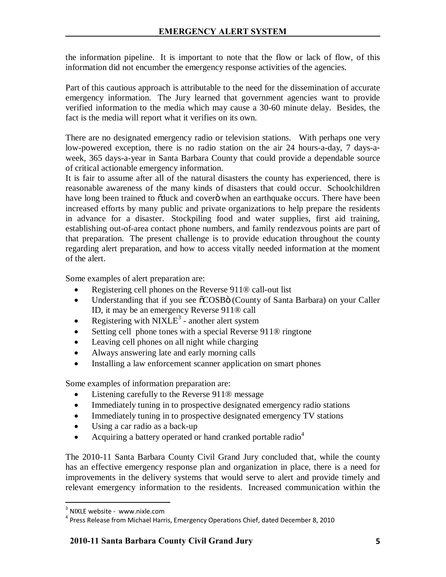the information pipeline. It is important to note that the flow or lack of flow, of this information did not encumber the emergency response activities of the agencies.

Part of this cautious approach is attributable to the need for the dissemination of accurate emergency information. The Jury learned that government agencies want to provide verified information to the media which may cause a 30-60 minute delay. Besides, the fact is the media will report what it verifies on its own.

There are no designated emergency radio or television stations. With perhaps one very low-powered exception, there is no radio station on the air 24 hours-a-day, 7 days-aweek, 365 days-a-year in Santa Barbara County that could provide a dependable source of critical actionable emergency information.

It is fair to assume after all of the natural disasters the county has experienced, there is reasonable awareness of the many kinds of disasters that could occur. Schoolchildren have long been trained to  $\delta$  duck and cover $\ddot{o}$  when an earthquake occurs. There have been increased efforts by many public and private organizations to help prepare the residents in advance for a disaster. Stockpiling food and water supplies, first aid training, establishing out-of-area contact phone numbers, and family rendezvous points are part of that preparation. The present challenge is to provide education throughout the county regarding alert preparation, and how to access vitally needed information at the moment of the alert.

Some examples of alert preparation are:

- Registering cell phones on the Reverse 911® call-out list
- Understanding that if you see  $\tilde{o}COSB\tilde{o}$  (County of Santa Barbara) on your Caller ID, it may be an emergency Reverse 911® call
- Registering with  $NIXLE<sup>3</sup>$  another alert system
- Setting cell phone tones with a special Reverse 911® ringtone
- Leaving cell phones on all night while charging
- Always answering late and early morning calls
- Installing a law enforcement scanner application on smart phones

Some examples of information preparation are:

- Listening carefully to the Reverse 911<sup>®</sup> message
- Immediately tuning in to prospective designated emergency radio stations
- Immediately tuning in to prospective designated emergency TV stations
- Using a car radio as a back-up
- Acquiring a battery operated or hand cranked portable radio<sup>4</sup>

The 2010-11 Santa Barbara County Civil Grand Jury concluded that, while the county has an effective emergency response plan and organization in place, there is a need for improvements in the delivery systems that would serve to alert and provide timely and relevant emergency information to the residents. Increased communication within the

<sup>-&</sup>lt;br>3  $3$  NIXLE website - www.nixle.com

 $4$  Press Release from Michael Harris, Emergency Operations Chief, dated December 8, 2010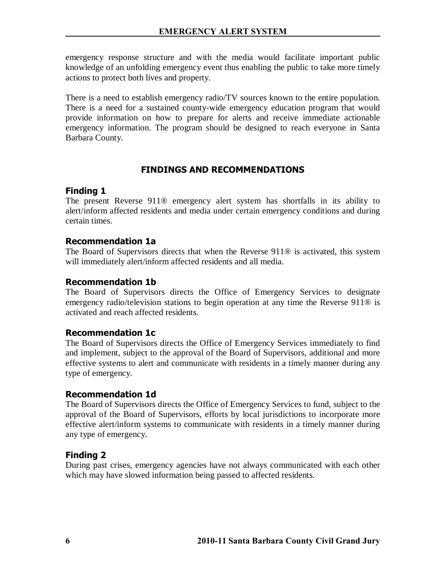emergency response structure and with the media would facilitate important public knowledge of an unfolding emergency event thus enabling the public to take more timely actions to protect both lives and property.

There is a need to establish emergency radio/TV sources known to the entire population. There is a need for a sustained county-wide emergency education program that would provide information on how to prepare for alerts and receive immediate actionable emergency information. The program should be designed to reach everyone in Santa Barbara County.

# **FINDINGS AND RECOMMENDATIONS**

# **Finding 1**

The present Reverse 911® emergency alert system has shortfalls in its ability to alert/inform affected residents and media under certain emergency conditions and during certain times.

# **Recommendation 1a**

The Board of Supervisors directs that when the Reverse 911® is activated, this system will immediately alert/inform affected residents and all media.

# **Recommendation 1b**

The Board of Supervisors directs the Office of Emergency Services to designate emergency radio/television stations to begin operation at any time the Reverse 911<sup>®</sup> is activated and reach affected residents.

# **Recommendation 1c**

The Board of Supervisors directs the Office of Emergency Services immediately to find and implement, subject to the approval of the Board of Supervisors, additional and more effective systems to alert and communicate with residents in a timely manner during any type of emergency.

## **Recommendation 1d**

The Board of Supervisors directs the Office of Emergency Services to fund, subject to the approval of the Board of Supervisors, efforts by local jurisdictions to incorporate more effective alert/inform systems to communicate with residents in a timely manner during any type of emergency.

# **Finding 2**

During past crises, emergency agencies have not always communicated with each other which may have slowed information being passed to affected residents.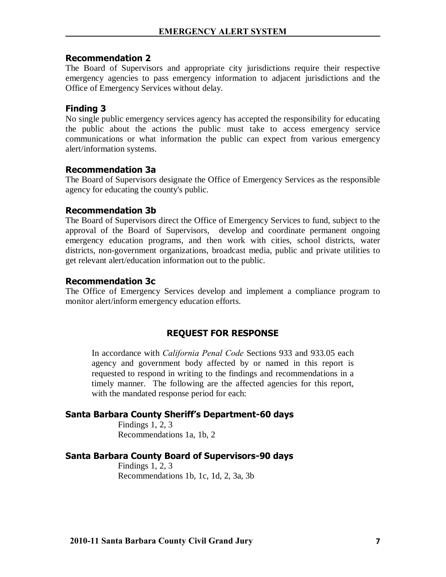#### **Recommendation 2**

The Board of Supervisors and appropriate city jurisdictions require their respective emergency agencies to pass emergency information to adjacent jurisdictions and the Office of Emergency Services without delay.

## **Finding 3**

No single public emergency services agency has accepted the responsibility for educating the public about the actions the public must take to access emergency service communications or what information the public can expect from various emergency alert/information systems.

#### **Recommendation 3a**

The Board of Supervisors designate the Office of Emergency Services as the responsible agency for educating the county's public.

#### **Recommendation 3b**

The Board of Supervisors direct the Office of Emergency Services to fund, subject to the approval of the Board of Supervisors, develop and coordinate permanent ongoing emergency education programs, and then work with cities, school districts, water districts, non-government organizations, broadcast media, public and private utilities to get relevant alert/education information out to the public.

#### **Recommendation 3c**

The Office of Emergency Services develop and implement a compliance program to monitor alert/inform emergency education efforts.

## **REQUEST FOR RESPONSE**

In accordance with *California Penal Code* Sections 933 and 933.05 each agency and government body affected by or named in this report is requested to respond in writing to the findings and recommendations in a timely manner. The following are the affected agencies for this report, with the mandated response period for each:

### **Santa Barbara County Sheriff's Department-60 days**

Findings 1, 2, 3 Recommendations 1a, 1b, 2

#### **Santa Barbara County Board of Supervisors-90 days**

Findings 1, 2, 3 Recommendations 1b, 1c, 1d, 2, 3a, 3b